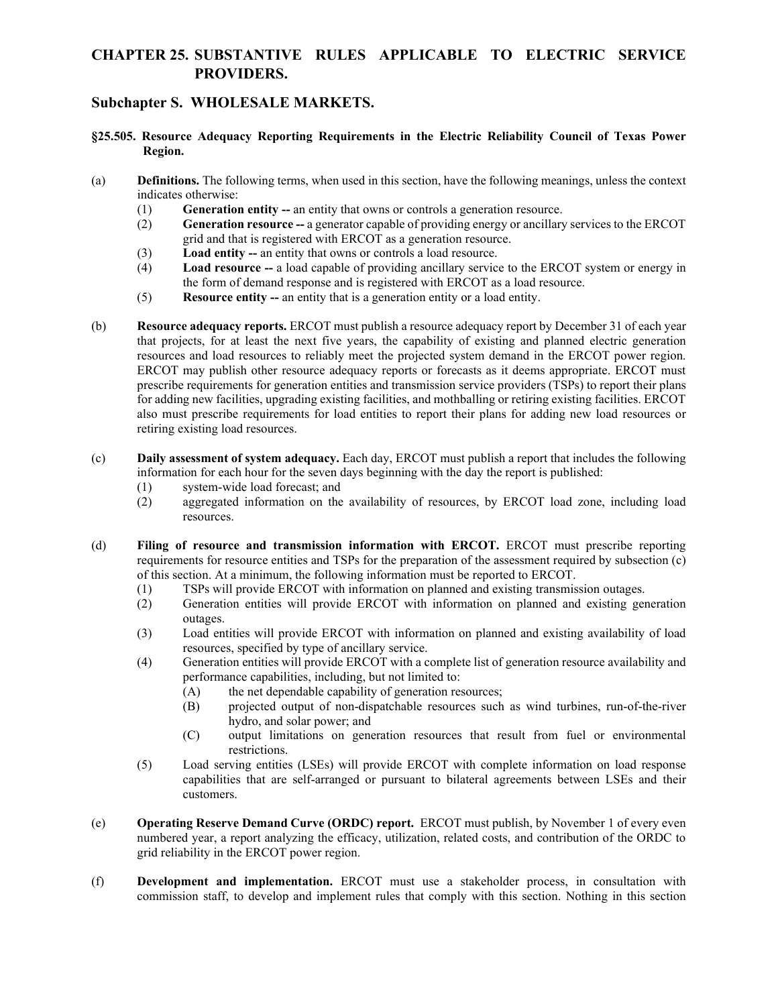## **CHAPTER 25. SUBSTANTIVE RULES APPLICABLE TO ELECTRIC SERVICE PROVIDERS.**

## **Subchapter S. WHOLESALE MARKETS.**

- **§25.505. Resource Adequacy Reporting Requirements in the Electric Reliability Council of Texas Power Region.**
- (a) **Definitions.** The following terms, when used in this section, have the following meanings, unless the context indicates otherwise:
	- (1) **Generation entity --** an entity that owns or controls a generation resource.
	- (2) **Generation resource --** a generator capable of providing energy or ancillary services to the ERCOT grid and that is registered with ERCOT as a generation resource.
	- (3) **Load entity --** an entity that owns or controls a load resource.
	- (4) **Load resource --** a load capable of providing ancillary service to the ERCOT system or energy in the form of demand response and is registered with ERCOT as a load resource.
	- (5) **Resource entity --** an entity that is a generation entity or a load entity.
- (b) **Resource adequacy reports.** ERCOT must publish a resource adequacy report by December 31 of each year that projects, for at least the next five years, the capability of existing and planned electric generation resources and load resources to reliably meet the projected system demand in the ERCOT power region. ERCOT may publish other resource adequacy reports or forecasts as it deems appropriate. ERCOT must prescribe requirements for generation entities and transmission service providers (TSPs) to report their plans for adding new facilities, upgrading existing facilities, and mothballing or retiring existing facilities. ERCOT also must prescribe requirements for load entities to report their plans for adding new load resources or retiring existing load resources.
- (c) **Daily assessment of system adequacy.** Each day, ERCOT must publish a report that includes the following information for each hour for the seven days beginning with the day the report is published:
	- (1) system-wide load forecast; and
	- (2) aggregated information on the availability of resources, by ERCOT load zone, including load resources.
- (d) **Filing of resource and transmission information with ERCOT.** ERCOT must prescribe reporting requirements for resource entities and TSPs for the preparation of the assessment required by subsection (c) of this section. At a minimum, the following information must be reported to ERCOT.
	- (1) TSPs will provide ERCOT with information on planned and existing transmission outages.
	- (2) Generation entities will provide ERCOT with information on planned and existing generation outages.
	- (3) Load entities will provide ERCOT with information on planned and existing availability of load resources, specified by type of ancillary service.
	- (4) Generation entities will provide ERCOT with a complete list of generation resource availability and performance capabilities, including, but not limited to:
		- (A) the net dependable capability of generation resources;
		- (B) projected output of non-dispatchable resources such as wind turbines, run-of-the-river hydro, and solar power; and
		- (C) output limitations on generation resources that result from fuel or environmental restrictions.
	- (5) Load serving entities (LSEs) will provide ERCOT with complete information on load response capabilities that are self-arranged or pursuant to bilateral agreements between LSEs and their customers.
- (e) **Operating Reserve Demand Curve (ORDC) report.** ERCOT must publish, by November 1 of every even numbered year, a report analyzing the efficacy, utilization, related costs, and contribution of the ORDC to grid reliability in the ERCOT power region.
- (f) **Development and implementation.** ERCOT must use a stakeholder process, in consultation with commission staff, to develop and implement rules that comply with this section. Nothing in this section